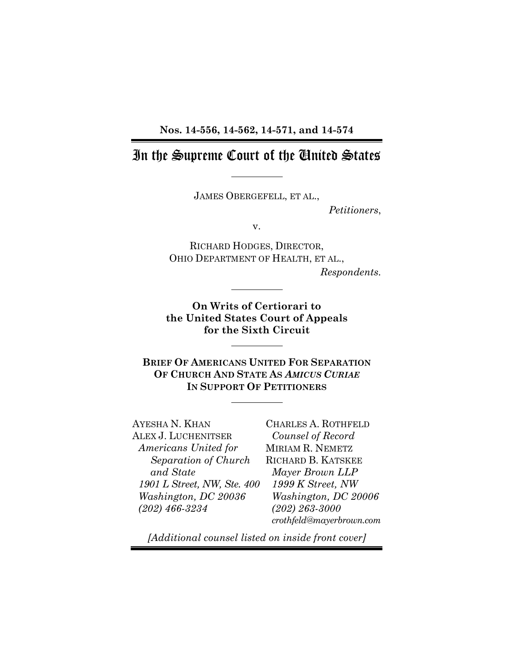**Nos. 14-556, 14-562, 14-571, and 14-574** 

## In the Supreme Court of the United States

JAMES OBERGEFELL, ET AL.,

*Petitioners*,

v.

RICHARD HODGES, DIRECTOR, OHIO DEPARTMENT OF HEALTH, ET AL.,

*Respondents.*

**On Writs of Certiorari to the United States Court of Appeals for the Sixth Circuit** 

**BRIEF OF AMERICANS UNITED FOR SEPARATION OF CHURCH AND STATE AS** *AMICUS CURIAE* **IN SUPPORT OF PETITIONERS**

AYESHA N. KHAN ALEX J. LUCHENITSER *Americans United for Separation of Church and State 1901 L Street, NW, Ste. 400 Washington, DC 20036 (202) 466-3234*

CHARLES A. ROTHFELD *Counsel of Record*  MIRIAM R. NEMETZ RICHARD B. KATSKEE *Mayer Brown LLP 1999 K Street, NW Washington, DC 20006 (202) 263-3000 crothfeld@mayerbrown.com*

*[Additional counsel listed on inside front cover]*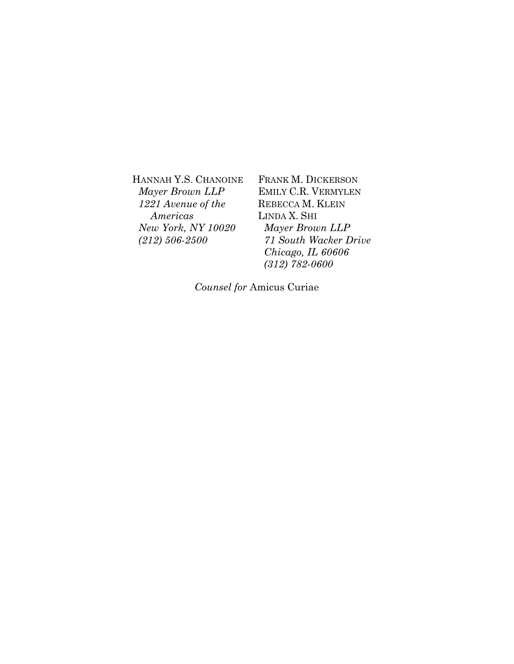HANNAH Y.S. CHANOINE *Mayer Brown LLP 1221 Avenue of the Americas New York, NY 10020 (212) 506-2500*

FRANK M. DICKERSON EMILY C.R. VERMYLEN REBECCA M. KLEIN LINDA X. SHI *Mayer Brown LLP 71 South Wacker Drive Chicago, IL 60606 (312) 782-0600* 

*Counsel for* Amicus Curiae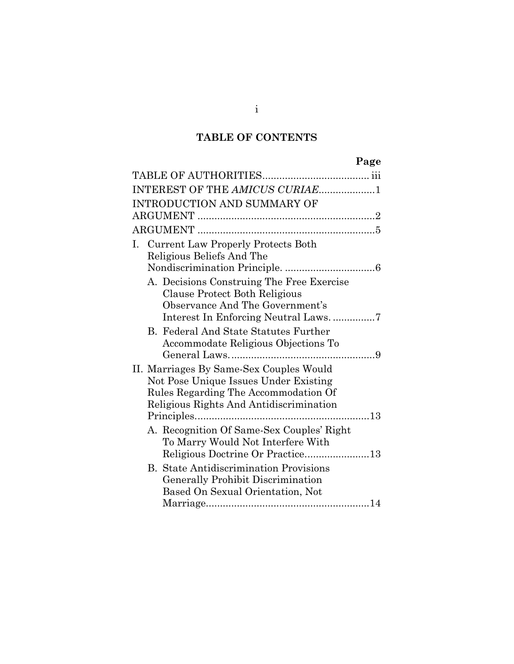## **TABLE OF CONTENTS**

# **Page**

| INTEREST OF THE AMICUS CURIAE1                |
|-----------------------------------------------|
| INTRODUCTION AND SUMMARY OF                   |
|                                               |
|                                               |
| I. Current Law Properly Protects Both         |
| Religious Beliefs And The                     |
|                                               |
| A. Decisions Construing The Free Exercise     |
| Clause Protect Both Religious                 |
| Observance And The Government's               |
|                                               |
| <b>B.</b> Federal And State Statutes Further  |
| Accommodate Religious Objections To           |
|                                               |
| II. Marriages By Same-Sex Couples Would       |
| Not Pose Unique Issues Under Existing         |
| Rules Regarding The Accommodation Of          |
| Religious Rights And Antidiscrimination       |
|                                               |
| A. Recognition Of Same-Sex Couples' Right     |
| To Marry Would Not Interfere With             |
|                                               |
| <b>B.</b> State Antidiscrimination Provisions |
| <b>Generally Prohibit Discrimination</b>      |
| Based On Sexual Orientation, Not              |
|                                               |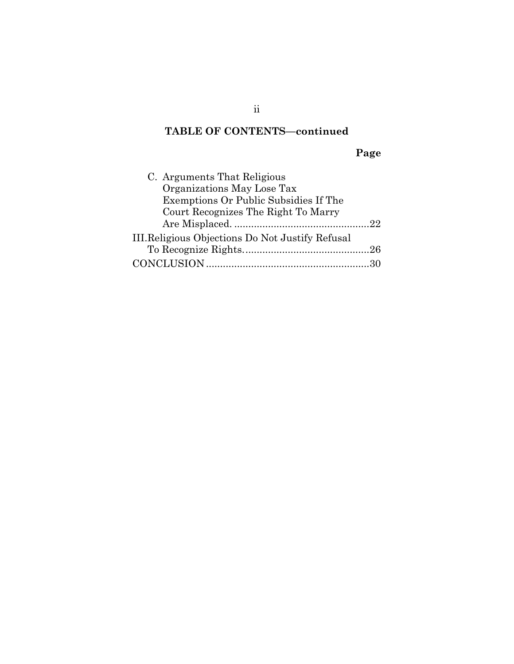## **TABLE OF CONTENTS—continued**

# **Page**

ii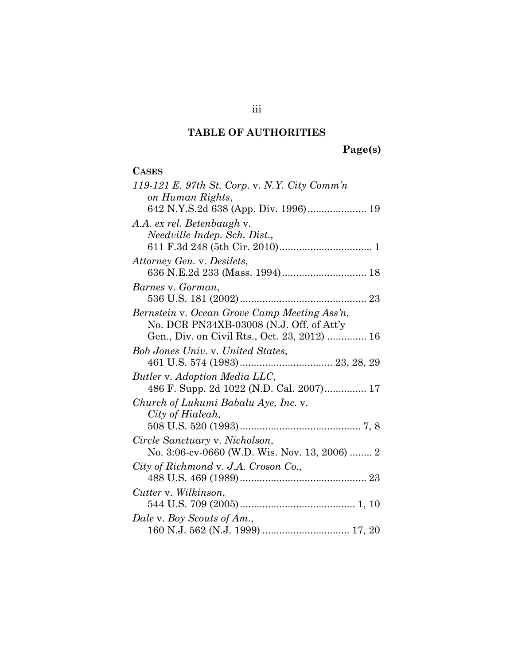# **TABLE OF AUTHORITIES**

**Page(s)** 

| <b>CASES</b>                                  |
|-----------------------------------------------|
| 119-121 E. 97th St. Corp. v. N.Y. City Comm'n |
| on Human Rights,                              |
|                                               |
| A.A. ex rel. Betenbaugh v.                    |
| Needville Indep. Sch. Dist.,                  |
|                                               |
| Attorney Gen. v. Desilets,                    |
|                                               |
| Barnes v. Gorman,                             |
|                                               |
| Bernstein v. Ocean Grove Camp Meeting Ass'n,  |
| No. DCR PN34XB-03008 (N.J. Off. of Att'y      |
| Gen., Div. on Civil Rts., Oct. 23, 2012)  16  |
| <b>Bob Jones Univ.</b> v. United States,      |
|                                               |
| Butler v. Adoption Media LLC,                 |
| 486 F. Supp. 2d 1022 (N.D. Cal. 2007) 17      |
| Church of Lukumi Babalu Aye, Inc. v.          |
| City of Hialeah,                              |
|                                               |
| Circle Sanctuary v. Nicholson,                |
| No. 3:06-cv-0660 (W.D. Wis. Nov. 13, 2006)  2 |
| City of Richmond v. J.A. Croson Co.,          |
|                                               |
| Cutter v. Wilkinson,                          |
|                                               |
| Dale v. Boy Scouts of Am.,                    |
|                                               |

iii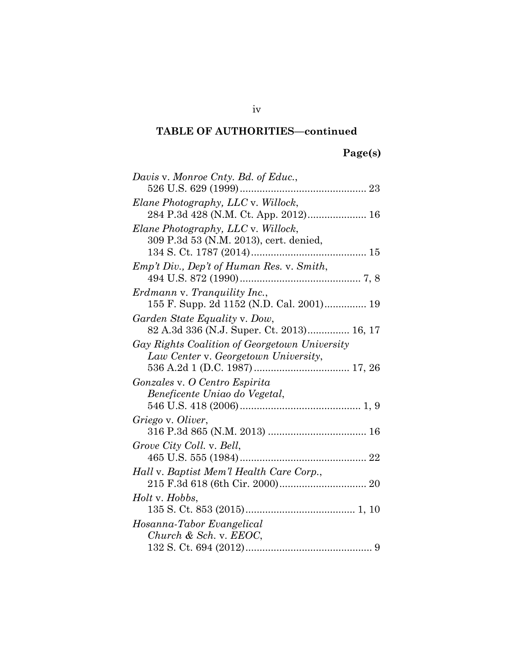# **Page(s)**

| Davis v. Monroe Cnty. Bd. of Educ.,           |
|-----------------------------------------------|
|                                               |
| Elane Photography, LLC v. Willock,            |
|                                               |
| Elane Photography, LLC v. Willock,            |
| 309 P.3d 53 (N.M. 2013), cert. denied,        |
|                                               |
| Emp't Div., Dep't of Human Res. v. Smith,     |
|                                               |
| Erdmann v. Tranquility Inc.,                  |
| 155 F. Supp. 2d 1152 (N.D. Cal. 2001) 19      |
| Garden State Equality v. Dow,                 |
| 82 A.3d 336 (N.J. Super. Ct. 2013) 16, 17     |
| Gay Rights Coalition of Georgetown University |
| Law Center v. Georgetown University,          |
|                                               |
| Gonzales v. O Centro Espirita                 |
| Beneficente Uniao do Vegetal,                 |
|                                               |
| Griego v. Oliver,                             |
|                                               |
| Grove City Coll. v. Bell,                     |
|                                               |
| Hall v. Baptist Mem'l Health Care Corp.,      |
|                                               |
| <i>Holt</i> v. <i>Hobbs</i> ,                 |
|                                               |
| Hosanna-Tabor Evangelical                     |
| Church & Sch. v. $EEOC$ ,                     |
|                                               |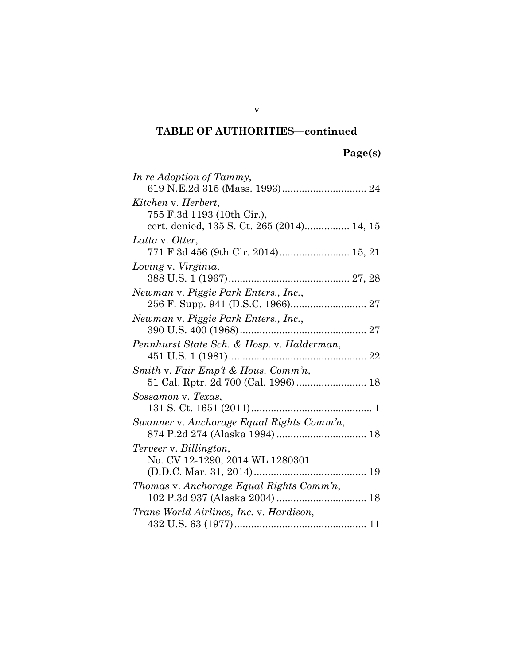| In re Adoption of Tammy,                   |
|--------------------------------------------|
|                                            |
| Kitchen v. Herbert,                        |
| 755 F.3d 1193 (10th Cir.),                 |
| cert. denied, 135 S. Ct. 265 (2014) 14, 15 |
| Latta v. Otter,                            |
| 771 F.3d 456 (9th Cir. 2014) 15, 21        |
| Loving v. Virginia,                        |
|                                            |
| Newman v. Piggie Park Enters., Inc.,       |
| 256 F. Supp. 941 (D.S.C. 1966) 27          |
| Newman v. Piggie Park Enters., Inc.,       |
|                                            |
| Pennhurst State Sch. & Hosp. v. Halderman, |
|                                            |
| Smith v. Fair Emp't & Hous. Comm'n,        |
| 51 Cal. Rptr. 2d 700 (Cal. 1996) 18        |
| Sossamon v. Texas,                         |
|                                            |
| Swanner v. Anchorage Equal Rights Comm'n,  |
|                                            |
| Terveer v. Billington,                     |
| No. CV 12-1290, 2014 WL 1280301            |
|                                            |
| Thomas v. Anchorage Equal Rights Comm'n,   |
|                                            |
| Trans World Airlines, Inc. v. Hardison,    |
|                                            |

v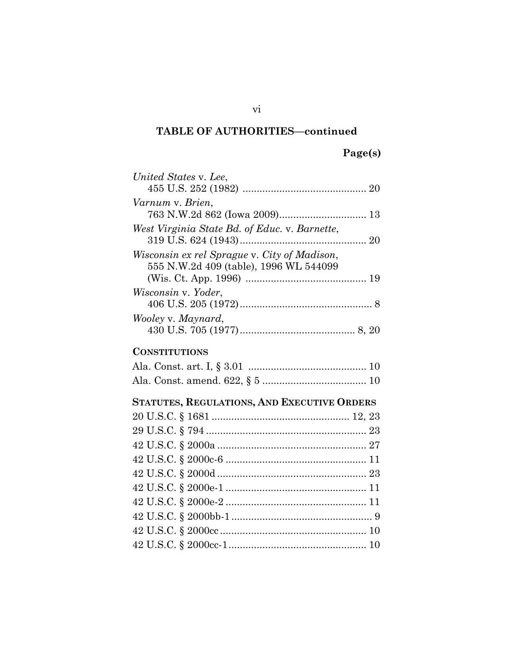# **Page(s)**

| United States v. Lee,                         |  |
|-----------------------------------------------|--|
|                                               |  |
| Varnum v. Brien,                              |  |
|                                               |  |
| West Virginia State Bd. of Educ. v. Barnette, |  |
|                                               |  |
| Wisconsin ex rel Sprague v. City of Madison,  |  |
| 555 N.W.2d 409 (table), 1996 WL 544099        |  |
|                                               |  |
| Wisconsin v. Yoder,                           |  |
|                                               |  |
| Wooley v. Maynard,                            |  |
|                                               |  |
| <b>CONSTITUTIONS</b>                          |  |
|                                               |  |
|                                               |  |
|                                               |  |
| STATUTES, REGULATIONS, AND EXECUTIVE ORDERS   |  |
|                                               |  |
|                                               |  |
|                                               |  |
|                                               |  |
|                                               |  |
|                                               |  |
|                                               |  |
|                                               |  |
|                                               |  |
|                                               |  |
|                                               |  |

vi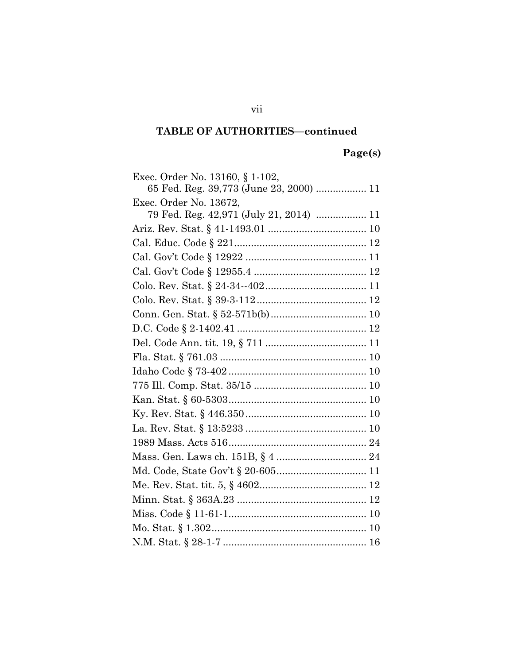# **Page(s)**

vii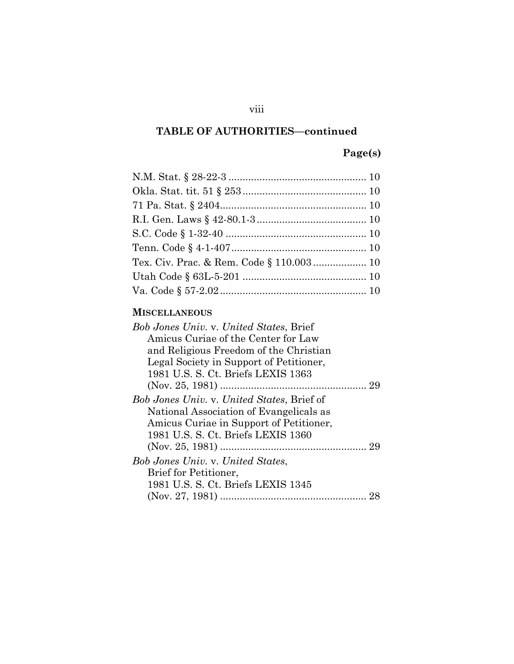## **Page(s)**

### **MISCELLANEOUS**

| <b>Bob Jones Univ. v. United States, Brief</b>    |  |
|---------------------------------------------------|--|
| Amicus Curiae of the Center for Law               |  |
| and Religious Freedom of the Christian            |  |
| Legal Society in Support of Petitioner,           |  |
| 1981 U.S. S. Ct. Briefs LEXIS 1363                |  |
|                                                   |  |
| <i>Bob Jones Univ.</i> v. United States, Brief of |  |
| National Association of Evangelicals as           |  |
| Amicus Curiae in Support of Petitioner,           |  |
| 1981 U.S. S. Ct. Briefs LEXIS 1360                |  |
|                                                   |  |
| <b>Bob Jones Univ. v. United States,</b>          |  |
| <b>Brief for Petitioner,</b>                      |  |
| 1981 U.S. S. Ct. Briefs LEXIS 1345                |  |
|                                                   |  |

### viii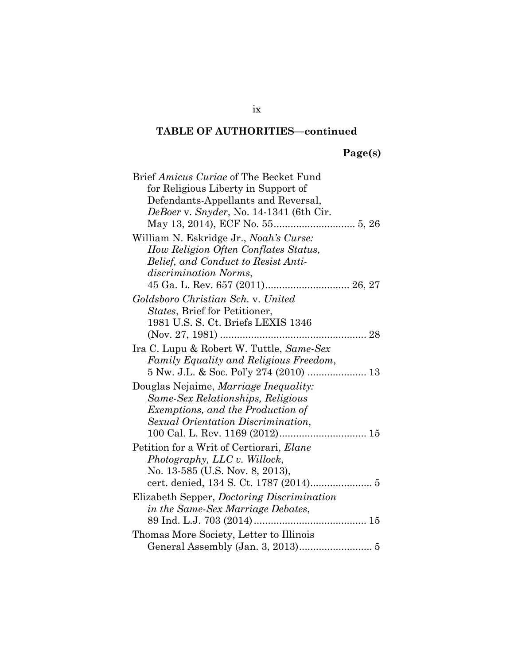# **Page(s)**

| Brief Amicus Curiae of The Becket Fund            |  |
|---------------------------------------------------|--|
| for Religious Liberty in Support of               |  |
| Defendants-Appellants and Reversal,               |  |
| DeBoer v. Snyder, No. 14-1341 (6th Cir.           |  |
|                                                   |  |
| William N. Eskridge Jr., Noah's Curse:            |  |
| How Religion Often Conflates Status,              |  |
| Belief, and Conduct to Resist Anti-               |  |
| <i>discrimination Norms,</i>                      |  |
|                                                   |  |
| Goldsboro Christian Sch. v. United                |  |
| States, Brief for Petitioner,                     |  |
| 1981 U.S. S. Ct. Briefs LEXIS 1346                |  |
|                                                   |  |
| Ira C. Lupu & Robert W. Tuttle, Same-Sex          |  |
| Family Equality and Religious Freedom,            |  |
|                                                   |  |
| Douglas Nejaime, Marriage Inequality:             |  |
| Same-Sex Relationships, Religious                 |  |
| Exemptions, and the Production of                 |  |
| Sexual Orientation Discrimination,                |  |
|                                                   |  |
| Petition for a Writ of Certiorari, Elane          |  |
| Photography, LLC v. Willock,                      |  |
| No. 13-585 (U.S. Nov. 8, 2013),                   |  |
| cert. denied, 134 S. Ct. 1787 (2014) 5            |  |
| Elizabeth Sepper, <i>Doctoring Discrimination</i> |  |
| in the Same-Sex Marriage Debates,                 |  |
|                                                   |  |
| Thomas More Society, Letter to Illinois           |  |
|                                                   |  |

ix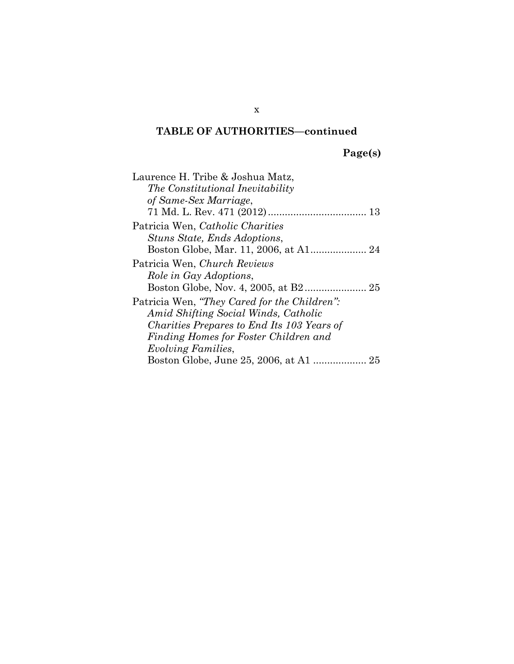**Page(s)**

| Laurence H. Tribe & Joshua Matz,             |
|----------------------------------------------|
| The Constitutional Inevitability             |
| of Same-Sex Marriage,                        |
| 13                                           |
| Patricia Wen, Catholic Charities             |
| Stuns State, Ends Adoptions,                 |
|                                              |
| Patricia Wen, Church Reviews                 |
| Role in Gay Adoptions,                       |
|                                              |
| Patricia Wen, "They Cared for the Children": |
| Amid Shifting Social Winds, Catholic         |
| Charities Prepares to End Its 103 Years of   |
| Finding Homes for Foster Children and        |
| <i>Evolving Families,</i>                    |
|                                              |

x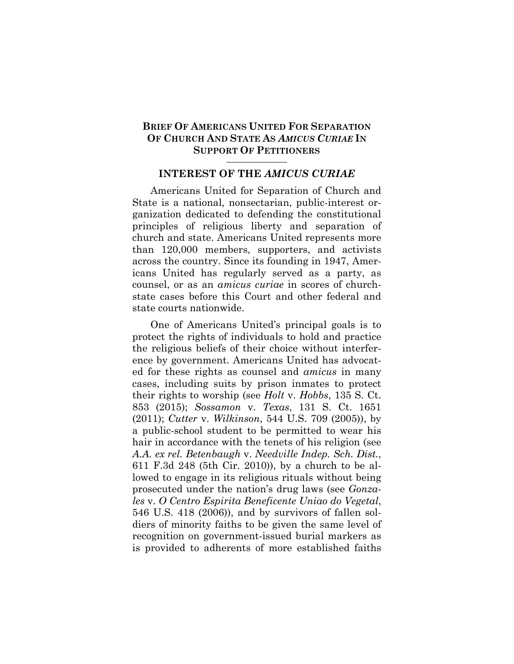#### **BRIEF OF AMERICANS UNITED FOR SEPARATION OF CHURCH AND STATE AS** *AMICUS CURIAE* **IN SUPPORT OF PETITIONERS**

#### **INTEREST OF THE** *AMICUS CURIAE*

Americans United for Separation of Church and State is a national, nonsectarian, public-interest organization dedicated to defending the constitutional principles of religious liberty and separation of church and state. Americans United represents more than 120,000 members, supporters, and activists across the country. Since its founding in 1947, Americans United has regularly served as a party, as counsel, or as an *amicus curiae* in scores of churchstate cases before this Court and other federal and state courts nationwide.

One of Americans United's principal goals is to protect the rights of individuals to hold and practice the religious beliefs of their choice without interference by government. Americans United has advocated for these rights as counsel and *amicus* in many cases, including suits by prison inmates to protect their rights to worship (see *Holt* v. *Hobbs*, 135 S. Ct. 853 (2015); *Sossamon* v. *Texas*, 131 S. Ct. 1651 (2011); *Cutter* v. *Wilkinson*, 544 U.S. 709 (2005)), by a public-school student to be permitted to wear his hair in accordance with the tenets of his religion (see *A.A. ex rel. Betenbaugh* v. *Needville Indep. Sch. Dist.*, 611 F.3d 248 (5th Cir. 2010)), by a church to be allowed to engage in its religious rituals without being prosecuted under the nation's drug laws (see *Gonzales* v. *O Centro Espirita Beneficente Uniao do Vegetal*, 546 U.S. 418 (2006)), and by survivors of fallen soldiers of minority faiths to be given the same level of recognition on government-issued burial markers as is provided to adherents of more established faiths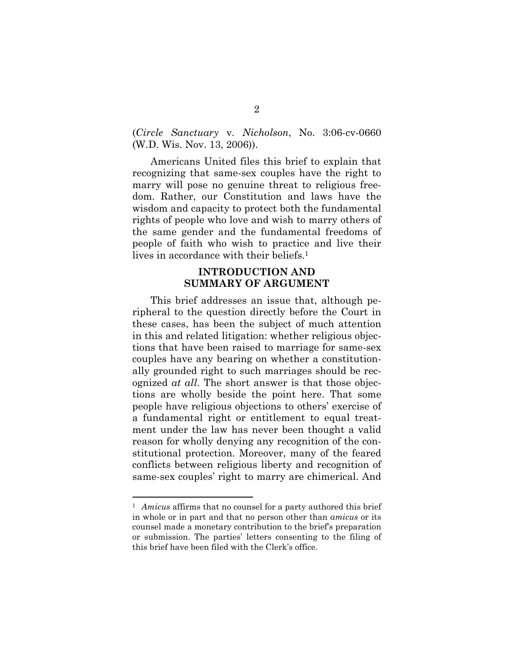(*Circle Sanctuary* v. *Nicholson*, No. 3:06-cv-0660 (W.D. Wis. Nov. 13, 2006)).

Americans United files this brief to explain that recognizing that same-sex couples have the right to marry will pose no genuine threat to religious freedom. Rather, our Constitution and laws have the wisdom and capacity to protect both the fundamental rights of people who love and wish to marry others of the same gender and the fundamental freedoms of people of faith who wish to practice and live their lives in accordance with their beliefs.<sup>1</sup>

#### **INTRODUCTION AND SUMMARY OF ARGUMENT**

This brief addresses an issue that, although peripheral to the question directly before the Court in these cases, has been the subject of much attention in this and related litigation: whether religious objections that have been raised to marriage for same-sex couples have any bearing on whether a constitutionally grounded right to such marriages should be recognized *at all*. The short answer is that those objections are wholly beside the point here. That some people have religious objections to others' exercise of a fundamental right or entitlement to equal treatment under the law has never been thought a valid reason for wholly denying any recognition of the constitutional protection. Moreover, many of the feared conflicts between religious liberty and recognition of same-sex couples' right to marry are chimerical. And

l

<sup>&</sup>lt;sup>1</sup> *Amicus* affirms that no counsel for a party authored this brief in whole or in part and that no person other than *amicus* or its counsel made a monetary contribution to the brief's preparation or submission. The parties' letters consenting to the filing of this brief have been filed with the Clerk's office.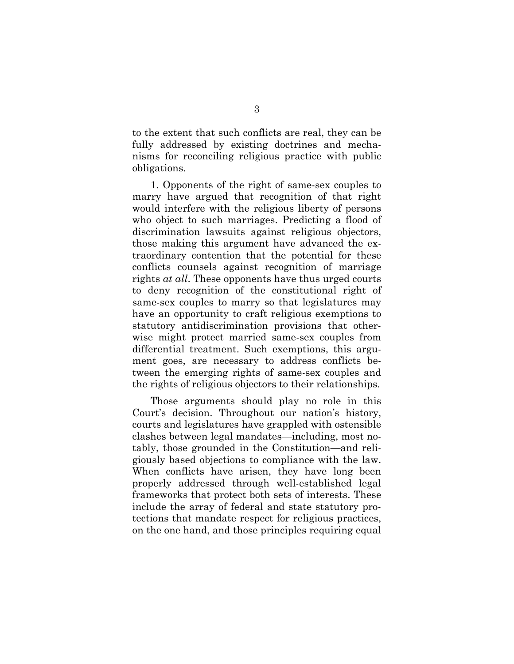to the extent that such conflicts are real, they can be fully addressed by existing doctrines and mechanisms for reconciling religious practice with public obligations.

1. Opponents of the right of same-sex couples to marry have argued that recognition of that right would interfere with the religious liberty of persons who object to such marriages. Predicting a flood of discrimination lawsuits against religious objectors, those making this argument have advanced the extraordinary contention that the potential for these conflicts counsels against recognition of marriage rights *at all*. These opponents have thus urged courts to deny recognition of the constitutional right of same-sex couples to marry so that legislatures may have an opportunity to craft religious exemptions to statutory antidiscrimination provisions that otherwise might protect married same-sex couples from differential treatment. Such exemptions, this argument goes, are necessary to address conflicts between the emerging rights of same-sex couples and the rights of religious objectors to their relationships.

Those arguments should play no role in this Court's decision. Throughout our nation's history, courts and legislatures have grappled with ostensible clashes between legal mandates—including, most notably, those grounded in the Constitution—and religiously based objections to compliance with the law. When conflicts have arisen, they have long been properly addressed through well-established legal frameworks that protect both sets of interests. These include the array of federal and state statutory protections that mandate respect for religious practices, on the one hand, and those principles requiring equal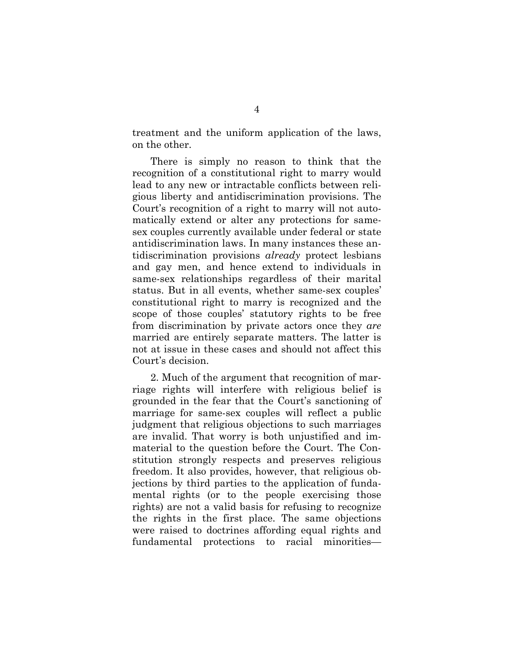treatment and the uniform application of the laws, on the other.

There is simply no reason to think that the recognition of a constitutional right to marry would lead to any new or intractable conflicts between religious liberty and antidiscrimination provisions. The Court's recognition of a right to marry will not automatically extend or alter any protections for samesex couples currently available under federal or state antidiscrimination laws. In many instances these antidiscrimination provisions *already* protect lesbians and gay men, and hence extend to individuals in same-sex relationships regardless of their marital status. But in all events, whether same-sex couples' constitutional right to marry is recognized and the scope of those couples' statutory rights to be free from discrimination by private actors once they *are* married are entirely separate matters. The latter is not at issue in these cases and should not affect this Court's decision.

2. Much of the argument that recognition of marriage rights will interfere with religious belief is grounded in the fear that the Court's sanctioning of marriage for same-sex couples will reflect a public judgment that religious objections to such marriages are invalid. That worry is both unjustified and immaterial to the question before the Court. The Constitution strongly respects and preserves religious freedom. It also provides, however, that religious objections by third parties to the application of fundamental rights (or to the people exercising those rights) are not a valid basis for refusing to recognize the rights in the first place. The same objections were raised to doctrines affording equal rights and fundamental protections to racial minorities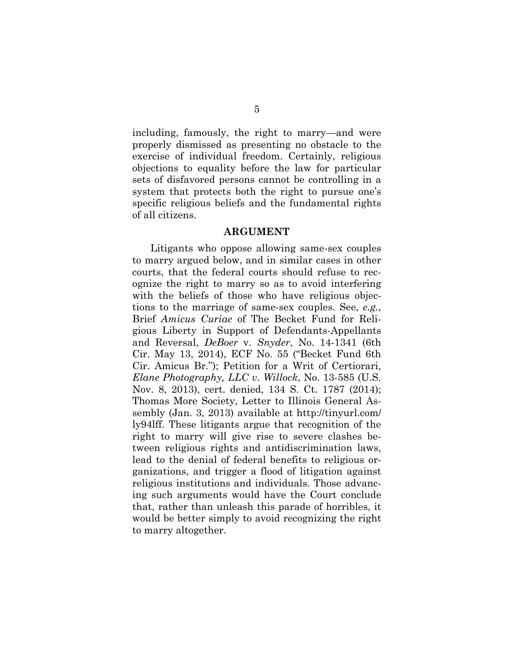including, famously, the right to marry—and were properly dismissed as presenting no obstacle to the exercise of individual freedom. Certainly, religious objections to equality before the law for particular sets of disfavored persons cannot be controlling in a system that protects both the right to pursue one's specific religious beliefs and the fundamental rights of all citizens.

#### **ARGUMENT**

Litigants who oppose allowing same-sex couples to marry argued below, and in similar cases in other courts, that the federal courts should refuse to recognize the right to marry so as to avoid interfering with the beliefs of those who have religious objections to the marriage of same-sex couples. See, *e.g.*, Brief *Amicus Curiae* of The Becket Fund for Religious Liberty in Support of Defendants-Appellants and Reversal, *DeBoer* v. *Snyder*, No. 14-1341 (6th Cir. May 13, 2014), ECF No. 55 ("Becket Fund 6th Cir. Amicus Br."); Petition for a Writ of Certiorari, *Elane Photography, LLC v. Willock*, No. 13-585 (U.S. Nov. 8, 2013), cert. denied, 134 S. Ct. 1787 (2014); Thomas More Society, Letter to Illinois General Assembly (Jan. 3, 2013) available at http://tinyurl.com/ ly94lff. These litigants argue that recognition of the right to marry will give rise to severe clashes between religious rights and antidiscrimination laws, lead to the denial of federal benefits to religious organizations, and trigger a flood of litigation against religious institutions and individuals. Those advancing such arguments would have the Court conclude that, rather than unleash this parade of horribles, it would be better simply to avoid recognizing the right to marry altogether.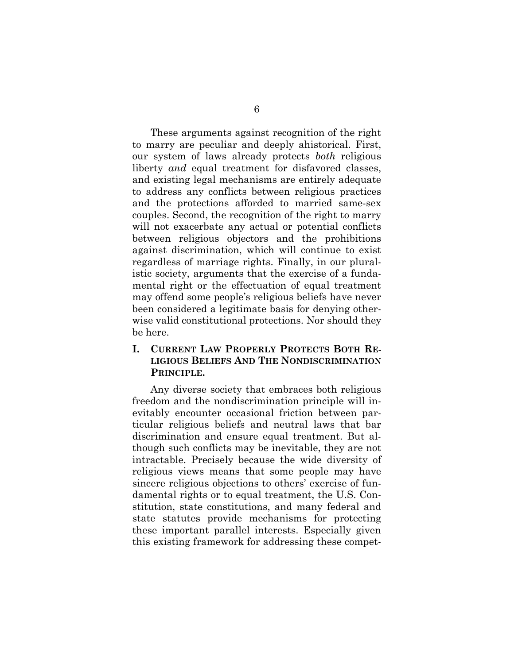These arguments against recognition of the right to marry are peculiar and deeply ahistorical. First, our system of laws already protects *both* religious liberty *and* equal treatment for disfavored classes, and existing legal mechanisms are entirely adequate to address any conflicts between religious practices and the protections afforded to married same-sex couples. Second, the recognition of the right to marry will not exacerbate any actual or potential conflicts between religious objectors and the prohibitions against discrimination, which will continue to exist regardless of marriage rights. Finally, in our pluralistic society, arguments that the exercise of a fundamental right or the effectuation of equal treatment may offend some people's religious beliefs have never been considered a legitimate basis for denying otherwise valid constitutional protections. Nor should they be here.

### **I. CURRENT LAW PROPERLY PROTECTS BOTH RE-LIGIOUS BELIEFS AND THE NONDISCRIMINATION PRINCIPLE.**

Any diverse society that embraces both religious freedom and the nondiscrimination principle will inevitably encounter occasional friction between particular religious beliefs and neutral laws that bar discrimination and ensure equal treatment. But although such conflicts may be inevitable, they are not intractable. Precisely because the wide diversity of religious views means that some people may have sincere religious objections to others' exercise of fundamental rights or to equal treatment, the U.S. Constitution, state constitutions, and many federal and state statutes provide mechanisms for protecting these important parallel interests. Especially given this existing framework for addressing these compet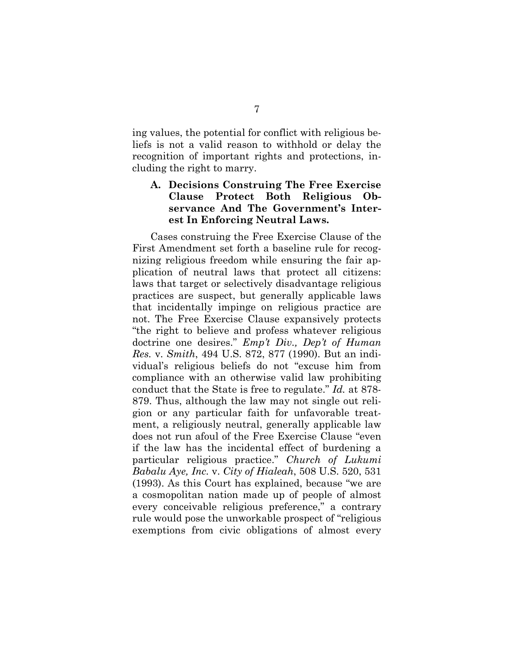ing values, the potential for conflict with religious beliefs is not a valid reason to withhold or delay the recognition of important rights and protections, including the right to marry.

### **A. Decisions Construing The Free Exercise Clause Protect Both Religious Observance And The Government's Interest In Enforcing Neutral Laws.**

Cases construing the Free Exercise Clause of the First Amendment set forth a baseline rule for recognizing religious freedom while ensuring the fair application of neutral laws that protect all citizens: laws that target or selectively disadvantage religious practices are suspect, but generally applicable laws that incidentally impinge on religious practice are not. The Free Exercise Clause expansively protects "the right to believe and profess whatever religious doctrine one desires." *Emp't Div., Dep't of Human Res.* v. *Smith*, 494 U.S. 872, 877 (1990). But an individual's religious beliefs do not "excuse him from compliance with an otherwise valid law prohibiting conduct that the State is free to regulate." *Id.* at 878- 879. Thus, although the law may not single out religion or any particular faith for unfavorable treatment, a religiously neutral, generally applicable law does not run afoul of the Free Exercise Clause "even if the law has the incidental effect of burdening a particular religious practice." *Church of Lukumi Babalu Aye, Inc.* v. *City of Hialeah*, 508 U.S. 520, 531 (1993). As this Court has explained, because "we are a cosmopolitan nation made up of people of almost every conceivable religious preference," a contrary rule would pose the unworkable prospect of "religious exemptions from civic obligations of almost every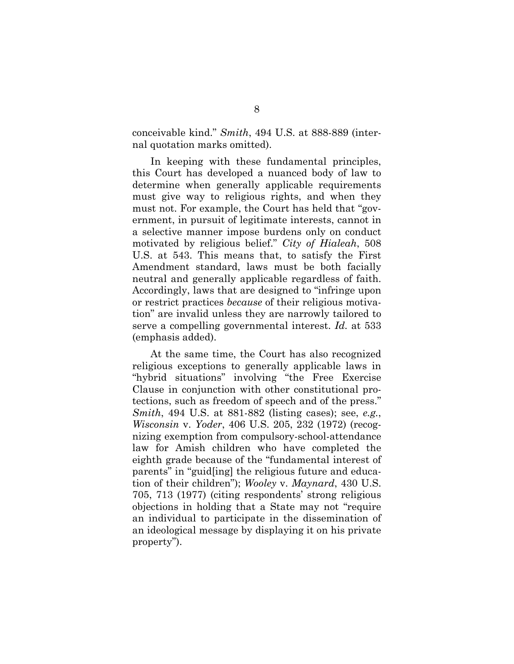conceivable kind." *Smith*, 494 U.S. at 888-889 (internal quotation marks omitted).

In keeping with these fundamental principles, this Court has developed a nuanced body of law to determine when generally applicable requirements must give way to religious rights, and when they must not. For example, the Court has held that "government, in pursuit of legitimate interests, cannot in a selective manner impose burdens only on conduct motivated by religious belief." *City of Hialeah*, 508 U.S. at 543. This means that, to satisfy the First Amendment standard, laws must be both facially neutral and generally applicable regardless of faith. Accordingly, laws that are designed to "infringe upon or restrict practices *because* of their religious motivation" are invalid unless they are narrowly tailored to serve a compelling governmental interest. *Id.* at 533 (emphasis added).

At the same time, the Court has also recognized religious exceptions to generally applicable laws in "hybrid situations" involving "the Free Exercise Clause in conjunction with other constitutional protections, such as freedom of speech and of the press." *Smith*, 494 U.S. at 881-882 (listing cases); see, *e.g.*, *Wisconsin* v. *Yoder*, 406 U.S. 205, 232 (1972) (recognizing exemption from compulsory-school-attendance law for Amish children who have completed the eighth grade because of the "fundamental interest of parents" in "guid[ing] the religious future and education of their children"); *Wooley* v. *Maynard*, 430 U.S. 705, 713 (1977) (citing respondents' strong religious objections in holding that a State may not "require an individual to participate in the dissemination of an ideological message by displaying it on his private property").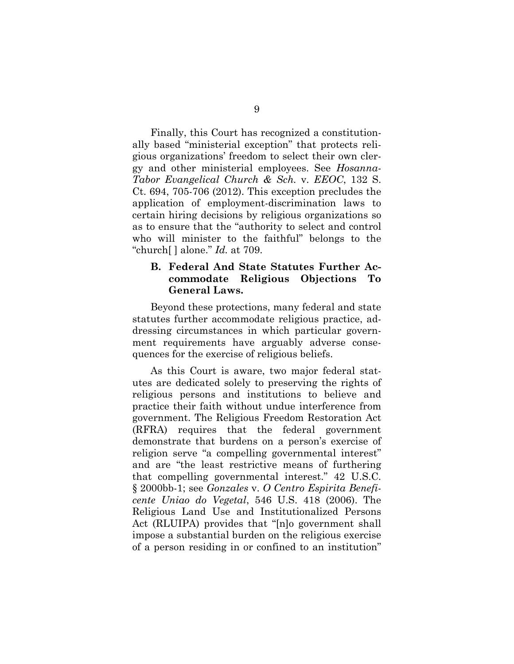Finally, this Court has recognized a constitutionally based "ministerial exception" that protects religious organizations' freedom to select their own clergy and other ministerial employees. See *Hosanna-Tabor Evangelical Church & Sch.* v. *EEOC*, 132 S. Ct. 694, 705-706 (2012). This exception precludes the application of employment-discrimination laws to certain hiring decisions by religious organizations so as to ensure that the "authority to select and control who will minister to the faithful" belongs to the "church[ ] alone." *Id.* at 709.

#### **B. Federal And State Statutes Further Accommodate Religious Objections To General Laws.**

Beyond these protections, many federal and state statutes further accommodate religious practice, addressing circumstances in which particular government requirements have arguably adverse consequences for the exercise of religious beliefs.

As this Court is aware, two major federal statutes are dedicated solely to preserving the rights of religious persons and institutions to believe and practice their faith without undue interference from government. The Religious Freedom Restoration Act (RFRA) requires that the federal government demonstrate that burdens on a person's exercise of religion serve "a compelling governmental interest" and are "the least restrictive means of furthering that compelling governmental interest." 42 U.S.C. § 2000bb-1; see *Gonzales* v. *O Centro Espirita Beneficente Uniao do Vegetal*, 546 U.S. 418 (2006). The Religious Land Use and Institutionalized Persons Act (RLUIPA) provides that "[n]o government shall impose a substantial burden on the religious exercise of a person residing in or confined to an institution"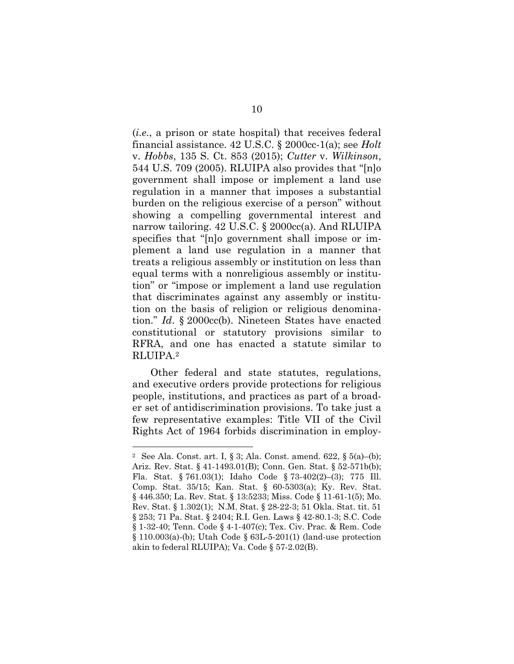(*i.e*., a prison or state hospital) that receives federal financial assistance. 42 U.S.C. § 2000cc-1(a); see *Holt* v. *Hobbs*, 135 S. Ct. 853 (2015); *Cutter* v. *Wilkinson*, 544 U.S. 709 (2005). RLUIPA also provides that "[n]o government shall impose or implement a land use regulation in a manner that imposes a substantial burden on the religious exercise of a person" without showing a compelling governmental interest and narrow tailoring. 42 U.S.C. § 2000cc(a). And RLUIPA specifies that "[n]o government shall impose or implement a land use regulation in a manner that treats a religious assembly or institution on less than equal terms with a nonreligious assembly or institution" or "impose or implement a land use regulation that discriminates against any assembly or institution on the basis of religion or religious denomination." *Id*. § 2000cc(b). Nineteen States have enacted constitutional or statutory provisions similar to RFRA, and one has enacted a statute similar to RLUIPA.2

Other federal and state statutes, regulations, and executive orders provide protections for religious people, institutions, and practices as part of a broader set of antidiscrimination provisions. To take just a few representative examples: Title VII of the Civil Rights Act of 1964 forbids discrimination in employ-

l

<sup>2</sup> See Ala. Const. art. I, § 3; Ala. Const. amend. 622, § 5(a)–(b); Ariz. Rev. Stat. § 41-1493.01(B); Conn. Gen. Stat. § 52-571b(b); Fla. Stat. § 761.03(1); Idaho Code § 73-402(2)–(3); 775 Ill. Comp. Stat. 35/15; Kan. Stat. § 60-5303(a); Ky. Rev. Stat. § 446.350; La. Rev. Stat. § 13:5233; Miss. Code § 11-61-1(5); Mo. Rev. Stat. § 1.302(1); N.M. Stat. § 28-22-3; 51 Okla. Stat. tit. 51 § 253; 71 Pa. Stat. § 2404; R.I. Gen. Laws § 42-80.1-3; S.C. Code § 1-32-40; Tenn. Code § 4-1-407(c); Tex. Civ. Prac. & Rem. Code  $\S 110.003(a)$ -(b); Utah Code  $\S 63L-5-201(1)$  (land-use protection akin to federal RLUIPA); Va. Code § 57-2.02(B).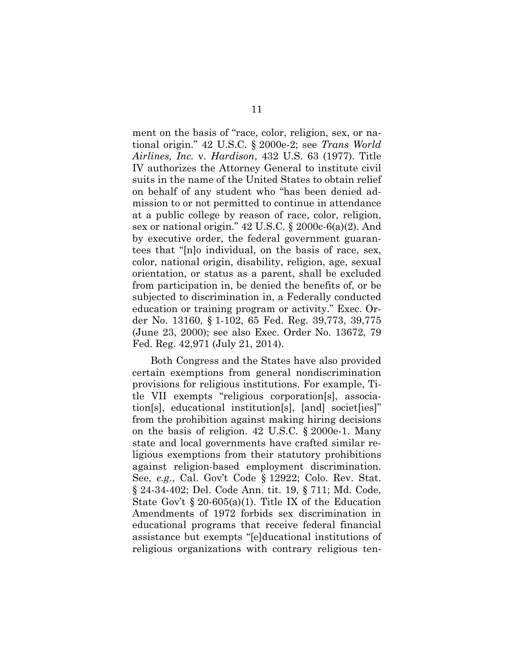ment on the basis of "race, color, religion, sex, or national origin." 42 U.S.C. § 2000e-2; see *Trans World Airlines, Inc.* v. *Hardison*, 432 U.S. 63 (1977). Title IV authorizes the Attorney General to institute civil suits in the name of the United States to obtain relief on behalf of any student who "has been denied admission to or not permitted to continue in attendance at a public college by reason of race, color, religion, sex or national origin." 42 U.S.C. § 2000c-6(a)(2). And by executive order, the federal government guarantees that "[n]o individual, on the basis of race, sex, color, national origin, disability, religion, age, sexual orientation, or status as a parent, shall be excluded from participation in, be denied the benefits of, or be subjected to discrimination in, a Federally conducted education or training program or activity." Exec. Order No. 13160, § 1-102, 65 Fed. Reg. 39,773, 39,775 (June 23, 2000); see also Exec. Order No. 13672, 79 Fed. Reg. 42,971 (July 21, 2014).

Both Congress and the States have also provided certain exemptions from general nondiscrimination provisions for religious institutions. For example, Title VII exempts "religious corporation[s], association[s], educational institution[s], [and] societ[ies]" from the prohibition against making hiring decisions on the basis of religion. 42 U.S.C. § 2000e-1. Many state and local governments have crafted similar religious exemptions from their statutory prohibitions against religion-based employment discrimination. See, *e.g.*, Cal. Gov't Code § 12922; Colo. Rev. Stat. § 24-34-402; Del. Code Ann. tit. 19, § 711; Md. Code, State Gov't § 20-605(a)(1). Title IX of the Education Amendments of 1972 forbids sex discrimination in educational programs that receive federal financial assistance but exempts "[e]ducational institutions of religious organizations with contrary religious ten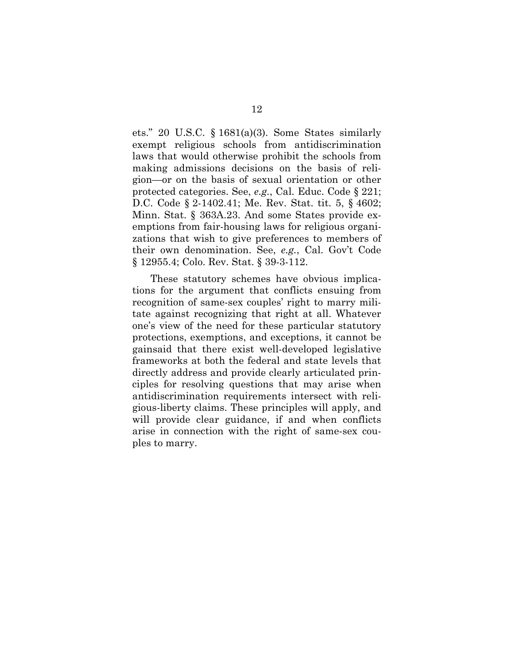ets." 20 U.S.C. § 1681(a)(3). Some States similarly exempt religious schools from antidiscrimination laws that would otherwise prohibit the schools from making admissions decisions on the basis of religion—or on the basis of sexual orientation or other protected categories. See, *e.g.*, Cal. Educ. Code § 221; D.C. Code § 2-1402.41; Me. Rev. Stat. tit. 5, § 4602; Minn. Stat. § 363A.23. And some States provide exemptions from fair-housing laws for religious organizations that wish to give preferences to members of their own denomination. See, *e.g.*, Cal. Gov't Code § 12955.4; Colo. Rev. Stat. § 39-3-112.

These statutory schemes have obvious implications for the argument that conflicts ensuing from recognition of same-sex couples' right to marry militate against recognizing that right at all. Whatever one's view of the need for these particular statutory protections, exemptions, and exceptions, it cannot be gainsaid that there exist well-developed legislative frameworks at both the federal and state levels that directly address and provide clearly articulated principles for resolving questions that may arise when antidiscrimination requirements intersect with religious-liberty claims. These principles will apply, and will provide clear guidance, if and when conflicts arise in connection with the right of same-sex couples to marry.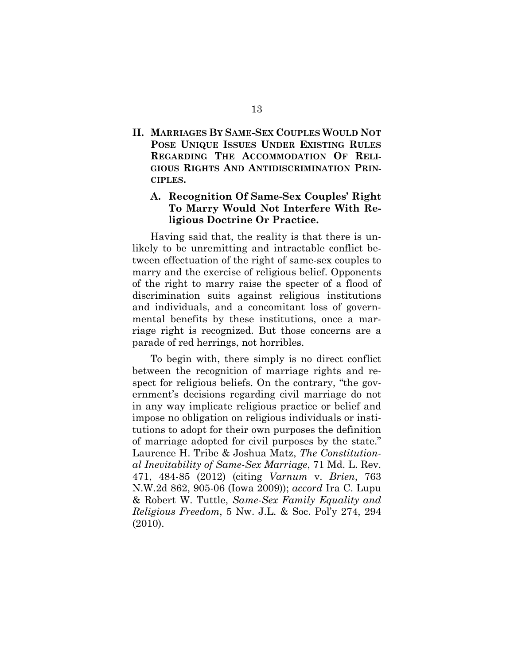### **II. MARRIAGES BY SAME-SEX COUPLES WOULD NOT POSE UNIQUE ISSUES UNDER EXISTING RULES REGARDING THE ACCOMMODATION OF RELI-GIOUS RIGHTS AND ANTIDISCRIMINATION PRIN-CIPLES.**

### **A. Recognition Of Same-Sex Couples' Right To Marry Would Not Interfere With Religious Doctrine Or Practice.**

Having said that, the reality is that there is unlikely to be unremitting and intractable conflict between effectuation of the right of same-sex couples to marry and the exercise of religious belief. Opponents of the right to marry raise the specter of a flood of discrimination suits against religious institutions and individuals, and a concomitant loss of governmental benefits by these institutions, once a marriage right is recognized. But those concerns are a parade of red herrings, not horribles.

To begin with, there simply is no direct conflict between the recognition of marriage rights and respect for religious beliefs. On the contrary, "the government's decisions regarding civil marriage do not in any way implicate religious practice or belief and impose no obligation on religious individuals or institutions to adopt for their own purposes the definition of marriage adopted for civil purposes by the state." Laurence H. Tribe & Joshua Matz, *The Constitutional Inevitability of Same-Sex Marriage*, 71 Md. L. Rev. 471, 484-85 (2012) (citing *Varnum* v. *Brien*, 763 N.W.2d 862, 905-06 (Iowa 2009)); *accord* Ira C. Lupu & Robert W. Tuttle, *Same-Sex Family Equality and Religious Freedom*, 5 Nw. J.L. & Soc. Pol'y 274, 294 (2010).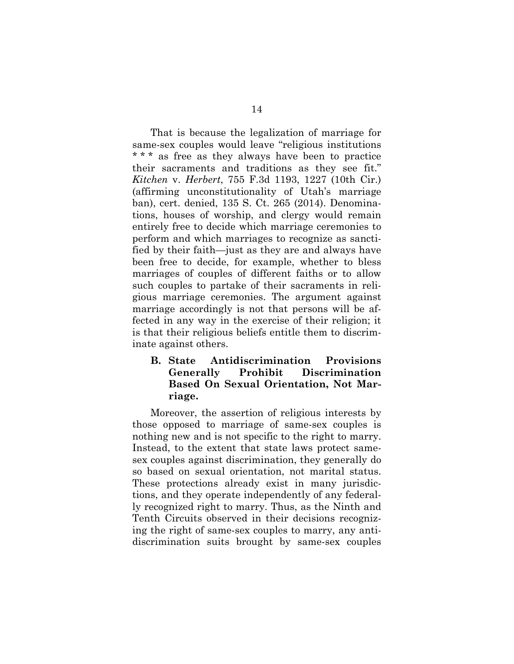That is because the legalization of marriage for same-sex couples would leave "religious institutions \* \* \* as free as they always have been to practice their sacraments and traditions as they see fit." *Kitchen* v. *Herbert*, 755 F.3d 1193, 1227 (10th Cir.) (affirming unconstitutionality of Utah's marriage ban), cert. denied, 135 S. Ct. 265 (2014). Denominations, houses of worship, and clergy would remain entirely free to decide which marriage ceremonies to perform and which marriages to recognize as sanctified by their faith—just as they are and always have been free to decide, for example, whether to bless marriages of couples of different faiths or to allow such couples to partake of their sacraments in religious marriage ceremonies. The argument against marriage accordingly is not that persons will be affected in any way in the exercise of their religion; it is that their religious beliefs entitle them to discriminate against others.

**B. State Antidiscrimination Provisions Generally Prohibit Discrimination Based On Sexual Orientation, Not Marriage.** 

Moreover, the assertion of religious interests by those opposed to marriage of same-sex couples is nothing new and is not specific to the right to marry. Instead, to the extent that state laws protect samesex couples against discrimination, they generally do so based on sexual orientation, not marital status. These protections already exist in many jurisdictions, and they operate independently of any federally recognized right to marry. Thus, as the Ninth and Tenth Circuits observed in their decisions recognizing the right of same-sex couples to marry, any antidiscrimination suits brought by same-sex couples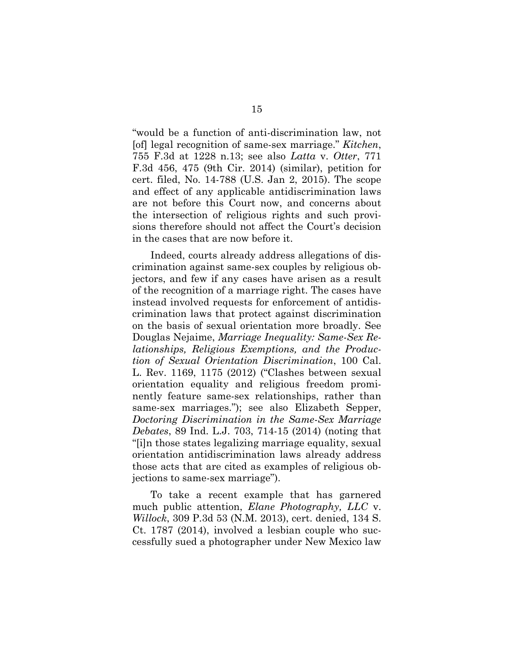"would be a function of anti-discrimination law, not [of] legal recognition of same-sex marriage." *Kitchen*, 755 F.3d at 1228 n.13; see also *Latta* v. *Otter*, 771 F.3d 456, 475 (9th Cir. 2014) (similar), petition for cert. filed, No. 14-788 (U.S. Jan 2, 2015). The scope and effect of any applicable antidiscrimination laws are not before this Court now, and concerns about the intersection of religious rights and such provisions therefore should not affect the Court's decision in the cases that are now before it.

Indeed, courts already address allegations of discrimination against same-sex couples by religious objectors, and few if any cases have arisen as a result of the recognition of a marriage right. The cases have instead involved requests for enforcement of antidiscrimination laws that protect against discrimination on the basis of sexual orientation more broadly. See Douglas Nejaime, *Marriage Inequality: Same-Sex Relationships, Religious Exemptions, and the Production of Sexual Orientation Discrimination*, 100 Cal. L. Rev. 1169, 1175 (2012) ("Clashes between sexual orientation equality and religious freedom prominently feature same-sex relationships, rather than same-sex marriages."); see also Elizabeth Sepper, *Doctoring Discrimination in the Same-Sex Marriage Debates*, 89 Ind. L.J. 703, 714-15 (2014) (noting that "[i]n those states legalizing marriage equality, sexual orientation antidiscrimination laws already address those acts that are cited as examples of religious objections to same-sex marriage").

To take a recent example that has garnered much public attention, *Elane Photography, LLC* v. *Willock*, 309 P.3d 53 (N.M. 2013), cert. denied, 134 S. Ct. 1787 (2014), involved a lesbian couple who successfully sued a photographer under New Mexico law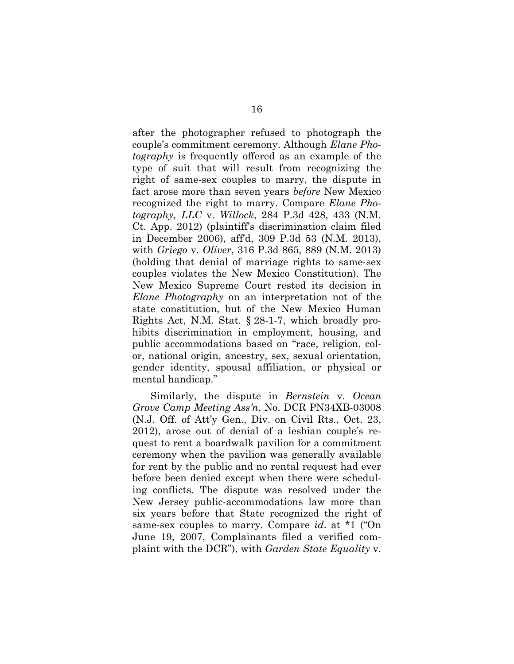after the photographer refused to photograph the couple's commitment ceremony. Although *Elane Photography* is frequently offered as an example of the type of suit that will result from recognizing the right of same-sex couples to marry, the dispute in fact arose more than seven years *before* New Mexico recognized the right to marry. Compare *Elane Photography, LLC* v. *Willock*, 284 P.3d 428, 433 (N.M. Ct. App. 2012) (plaintiff's discrimination claim filed in December 2006), aff'd, 309 P.3d 53 (N.M. 2013), with *Griego* v. *Oliver*, 316 P.3d 865, 889 (N.M. 2013) (holding that denial of marriage rights to same-sex couples violates the New Mexico Constitution). The New Mexico Supreme Court rested its decision in *Elane Photography* on an interpretation not of the state constitution, but of the New Mexico Human Rights Act, N.M. Stat. § 28-1-7, which broadly prohibits discrimination in employment, housing, and public accommodations based on "race, religion, color, national origin, ancestry, sex, sexual orientation, gender identity, spousal affiliation, or physical or mental handicap."

Similarly, the dispute in *Bernstein* v. *Ocean Grove Camp Meeting Ass'n*, No. DCR PN34XB-03008 (N.J. Off. of Att'y Gen., Div. on Civil Rts., Oct. 23, 2012), arose out of denial of a lesbian couple's request to rent a boardwalk pavilion for a commitment ceremony when the pavilion was generally available for rent by the public and no rental request had ever before been denied except when there were scheduling conflicts. The dispute was resolved under the New Jersey public-accommodations law more than six years before that State recognized the right of same-sex couples to marry. Compare *id*. at \*1 ("On June 19, 2007, Complainants filed a verified complaint with the DCR"), with *Garden State Equality* v.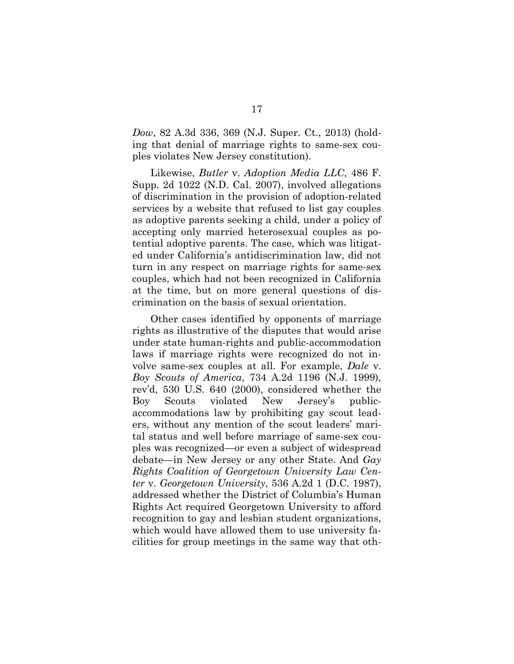*Dow*, 82 A.3d 336, 369 (N.J. Super. Ct., 2013) (holding that denial of marriage rights to same-sex couples violates New Jersey constitution).

Likewise, *Butler* v. *Adoption Media LLC*, 486 F. Supp. 2d 1022 (N.D. Cal. 2007), involved allegations of discrimination in the provision of adoption-related services by a website that refused to list gay couples as adoptive parents seeking a child, under a policy of accepting only married heterosexual couples as potential adoptive parents. The case, which was litigated under California's antidiscrimination law, did not turn in any respect on marriage rights for same-sex couples, which had not been recognized in California at the time, but on more general questions of discrimination on the basis of sexual orientation.

Other cases identified by opponents of marriage rights as illustrative of the disputes that would arise under state human-rights and public-accommodation laws if marriage rights were recognized do not involve same-sex couples at all. For example, *Dale* v. *Boy Scouts of America*, 734 A.2d 1196 (N.J. 1999), rev'd, 530 U.S. 640 (2000), considered whether the Boy Scouts violated New Jersey's publicaccommodations law by prohibiting gay scout leaders, without any mention of the scout leaders' marital status and well before marriage of same-sex couples was recognized—or even a subject of widespread debate—in New Jersey or any other State. And *Gay Rights Coalition of Georgetown University Law Center* v. *Georgetown University*, 536 A.2d 1 (D.C. 1987), addressed whether the District of Columbia's Human Rights Act required Georgetown University to afford recognition to gay and lesbian student organizations, which would have allowed them to use university facilities for group meetings in the same way that oth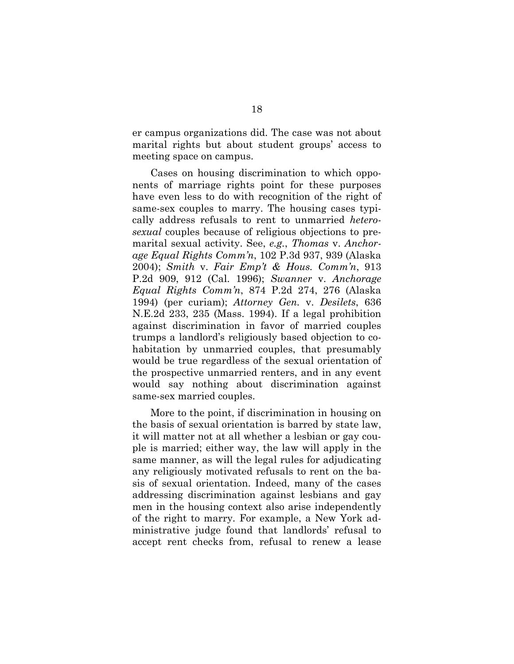er campus organizations did. The case was not about marital rights but about student groups' access to meeting space on campus.

Cases on housing discrimination to which opponents of marriage rights point for these purposes have even less to do with recognition of the right of same-sex couples to marry. The housing cases typically address refusals to rent to unmarried *heterosexual* couples because of religious objections to premarital sexual activity. See, *e.g.*, *Thomas* v. *Anchorage Equal Rights Comm'n*, 102 P.3d 937, 939 (Alaska 2004); *Smith* v. *Fair Emp't & Hous. Comm'n*, 913 P.2d 909, 912 (Cal. 1996); *Swanner* v. *Anchorage Equal Rights Comm'n*, 874 P.2d 274, 276 (Alaska 1994) (per curiam); *Attorney Gen.* v. *Desilets*, 636 N.E.2d 233, 235 (Mass. 1994). If a legal prohibition against discrimination in favor of married couples trumps a landlord's religiously based objection to cohabitation by unmarried couples, that presumably would be true regardless of the sexual orientation of the prospective unmarried renters, and in any event would say nothing about discrimination against same-sex married couples.

More to the point, if discrimination in housing on the basis of sexual orientation is barred by state law, it will matter not at all whether a lesbian or gay couple is married; either way, the law will apply in the same manner, as will the legal rules for adjudicating any religiously motivated refusals to rent on the basis of sexual orientation. Indeed, many of the cases addressing discrimination against lesbians and gay men in the housing context also arise independently of the right to marry. For example, a New York administrative judge found that landlords' refusal to accept rent checks from, refusal to renew a lease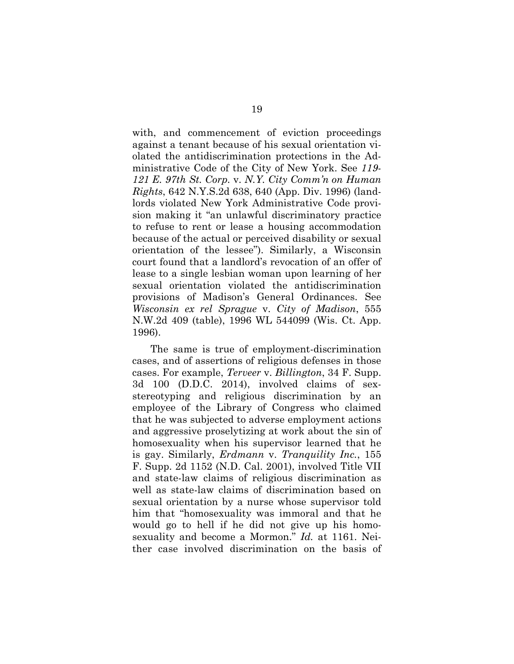with, and commencement of eviction proceedings against a tenant because of his sexual orientation violated the antidiscrimination protections in the Administrative Code of the City of New York. See *119- 121 E. 97th St. Corp.* v. *N.Y. City Comm'n on Human Rights*, 642 N.Y.S.2d 638, 640 (App. Div. 1996) (landlords violated New York Administrative Code provision making it "an unlawful discriminatory practice to refuse to rent or lease a housing accommodation because of the actual or perceived disability or sexual orientation of the lessee"). Similarly, a Wisconsin court found that a landlord's revocation of an offer of lease to a single lesbian woman upon learning of her sexual orientation violated the antidiscrimination provisions of Madison's General Ordinances. See *Wisconsin ex rel Sprague* v. *City of Madison*, 555 N.W.2d 409 (table), 1996 WL 544099 (Wis. Ct. App. 1996).

The same is true of employment-discrimination cases, and of assertions of religious defenses in those cases. For example, *Terveer* v. *Billington*, 34 F. Supp. 3d 100 (D.D.C. 2014), involved claims of sexstereotyping and religious discrimination by an employee of the Library of Congress who claimed that he was subjected to adverse employment actions and aggressive proselytizing at work about the sin of homosexuality when his supervisor learned that he is gay. Similarly, *Erdmann* v. *Tranquility Inc.*, 155 F. Supp. 2d 1152 (N.D. Cal. 2001), involved Title VII and state-law claims of religious discrimination as well as state-law claims of discrimination based on sexual orientation by a nurse whose supervisor told him that "homosexuality was immoral and that he would go to hell if he did not give up his homosexuality and become a Mormon." *Id.* at 1161. Neither case involved discrimination on the basis of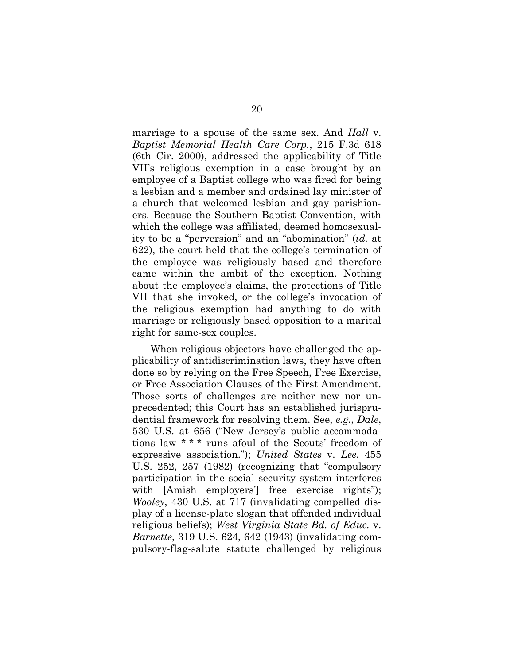marriage to a spouse of the same sex. And *Hall* v. *Baptist Memorial Health Care Corp.*, 215 F.3d 618 (6th Cir. 2000), addressed the applicability of Title VII's religious exemption in a case brought by an employee of a Baptist college who was fired for being a lesbian and a member and ordained lay minister of a church that welcomed lesbian and gay parishioners. Because the Southern Baptist Convention, with which the college was affiliated, deemed homosexuality to be a "perversion" and an "abomination" (*id.* at 622), the court held that the college's termination of the employee was religiously based and therefore came within the ambit of the exception. Nothing about the employee's claims, the protections of Title VII that she invoked, or the college's invocation of the religious exemption had anything to do with marriage or religiously based opposition to a marital right for same-sex couples.

When religious objectors have challenged the applicability of antidiscrimination laws, they have often done so by relying on the Free Speech, Free Exercise, or Free Association Clauses of the First Amendment. Those sorts of challenges are neither new nor unprecedented; this Court has an established jurisprudential framework for resolving them. See, *e.g.*, *Dale*, 530 U.S. at 656 ("New Jersey's public accommodations law \* \* \* runs afoul of the Scouts' freedom of expressive association."); *United States* v. *Lee*, 455 U.S. 252, 257 (1982) (recognizing that "compulsory participation in the social security system interferes with [Amish employers'] free exercise rights"); *Wooley*, 430 U.S. at 717 (invalidating compelled display of a license-plate slogan that offended individual religious beliefs); *West Virginia State Bd. of Educ.* v. *Barnette*, 319 U.S. 624, 642 (1943) (invalidating compulsory-flag-salute statute challenged by religious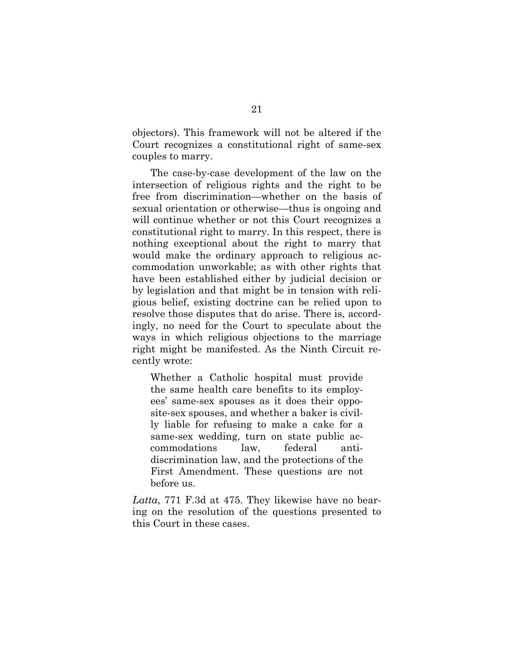objectors). This framework will not be altered if the Court recognizes a constitutional right of same-sex couples to marry.

The case-by-case development of the law on the intersection of religious rights and the right to be free from discrimination—whether on the basis of sexual orientation or otherwise—thus is ongoing and will continue whether or not this Court recognizes a constitutional right to marry. In this respect, there is nothing exceptional about the right to marry that would make the ordinary approach to religious accommodation unworkable; as with other rights that have been established either by judicial decision or by legislation and that might be in tension with religious belief, existing doctrine can be relied upon to resolve those disputes that do arise. There is, accordingly, no need for the Court to speculate about the ways in which religious objections to the marriage right might be manifested. As the Ninth Circuit recently wrote:

Whether a Catholic hospital must provide the same health care benefits to its employees' same-sex spouses as it does their opposite-sex spouses, and whether a baker is civilly liable for refusing to make a cake for a same-sex wedding, turn on state public accommodations law, federal antidiscrimination law, and the protections of the First Amendment. These questions are not before us.

*Latta*, 771 F.3d at 475. They likewise have no bearing on the resolution of the questions presented to this Court in these cases.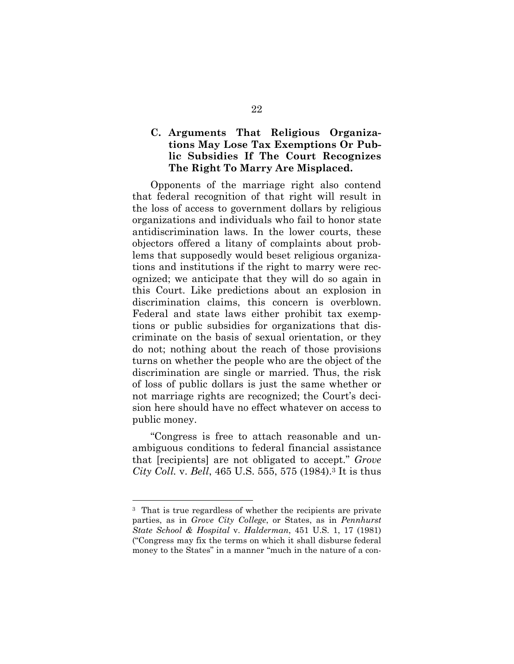### **C. Arguments That Religious Organizations May Lose Tax Exemptions Or Public Subsidies If The Court Recognizes The Right To Marry Are Misplaced.**

Opponents of the marriage right also contend that federal recognition of that right will result in the loss of access to government dollars by religious organizations and individuals who fail to honor state antidiscrimination laws. In the lower courts, these objectors offered a litany of complaints about problems that supposedly would beset religious organizations and institutions if the right to marry were recognized; we anticipate that they will do so again in this Court. Like predictions about an explosion in discrimination claims, this concern is overblown. Federal and state laws either prohibit tax exemptions or public subsidies for organizations that discriminate on the basis of sexual orientation, or they do not; nothing about the reach of those provisions turns on whether the people who are the object of the discrimination are single or married. Thus, the risk of loss of public dollars is just the same whether or not marriage rights are recognized; the Court's decision here should have no effect whatever on access to public money.

"Congress is free to attach reasonable and unambiguous conditions to federal financial assistance that [recipients] are not obligated to accept." *Grove City Coll.* v. *Bell*, 465 U.S. 555, 575 (1984).3 It is thus

l

<sup>3</sup> That is true regardless of whether the recipients are private parties, as in *Grove City College*, or States, as in *Pennhurst State School & Hospital* v. *Halderman*, 451 U.S. 1, 17 (1981) ("Congress may fix the terms on which it shall disburse federal money to the States" in a manner "much in the nature of a con-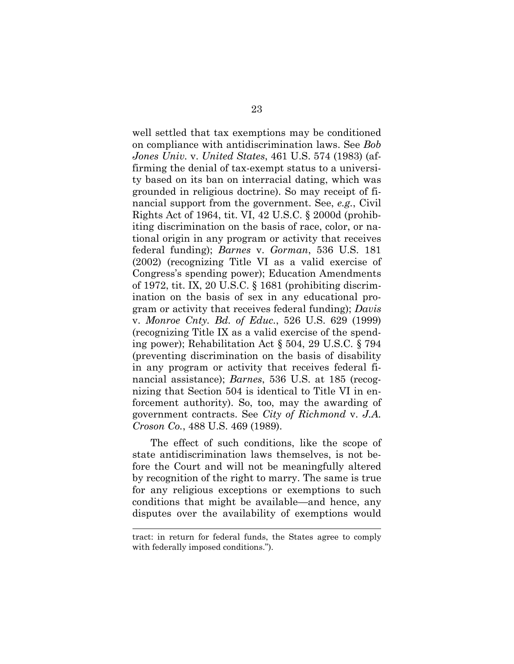well settled that tax exemptions may be conditioned on compliance with antidiscrimination laws. See *Bob Jones Univ.* v. *United States*, 461 U.S. 574 (1983) (affirming the denial of tax-exempt status to a university based on its ban on interracial dating, which was grounded in religious doctrine). So may receipt of financial support from the government. See, *e.g.*, Civil Rights Act of 1964, tit. VI, 42 U.S.C. § 2000d (prohibiting discrimination on the basis of race, color, or national origin in any program or activity that receives federal funding); *Barnes* v. *Gorman*, 536 U.S. 181 (2002) (recognizing Title VI as a valid exercise of Congress's spending power); Education Amendments of 1972, tit. IX, 20 U.S.C. § 1681 (prohibiting discrimination on the basis of sex in any educational program or activity that receives federal funding); *Davis* v. *Monroe Cnty. Bd. of Educ.*, 526 U.S. 629 (1999) (recognizing Title IX as a valid exercise of the spending power); Rehabilitation Act § 504, 29 U.S.C. § 794 (preventing discrimination on the basis of disability in any program or activity that receives federal financial assistance); *Barnes*, 536 U.S. at 185 (recognizing that Section 504 is identical to Title VI in enforcement authority). So, too, may the awarding of government contracts. See *City of Richmond* v. *J.A. Croson Co.*, 488 U.S. 469 (1989).

The effect of such conditions, like the scope of state antidiscrimination laws themselves, is not before the Court and will not be meaningfully altered by recognition of the right to marry. The same is true for any religious exceptions or exemptions to such conditions that might be available—and hence, any disputes over the availability of exemptions would

tract: in return for federal funds, the States agree to comply with federally imposed conditions.").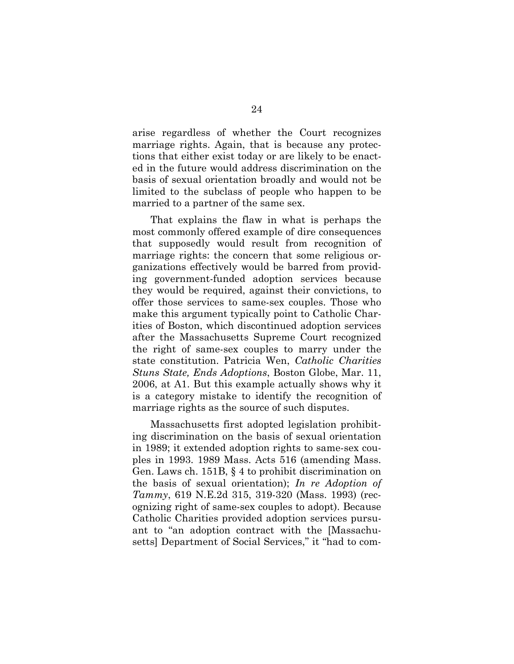arise regardless of whether the Court recognizes marriage rights. Again, that is because any protections that either exist today or are likely to be enacted in the future would address discrimination on the basis of sexual orientation broadly and would not be limited to the subclass of people who happen to be married to a partner of the same sex.

That explains the flaw in what is perhaps the most commonly offered example of dire consequences that supposedly would result from recognition of marriage rights: the concern that some religious organizations effectively would be barred from providing government-funded adoption services because they would be required, against their convictions, to offer those services to same-sex couples. Those who make this argument typically point to Catholic Charities of Boston, which discontinued adoption services after the Massachusetts Supreme Court recognized the right of same-sex couples to marry under the state constitution. Patricia Wen, *Catholic Charities Stuns State, Ends Adoptions*, Boston Globe, Mar. 11, 2006, at A1. But this example actually shows why it is a category mistake to identify the recognition of marriage rights as the source of such disputes.

Massachusetts first adopted legislation prohibiting discrimination on the basis of sexual orientation in 1989; it extended adoption rights to same-sex couples in 1993. 1989 Mass. Acts 516 (amending Mass. Gen. Laws ch. 151B, § 4 to prohibit discrimination on the basis of sexual orientation); *In re Adoption of Tammy*, 619 N.E.2d 315, 319-320 (Mass. 1993) (recognizing right of same-sex couples to adopt). Because Catholic Charities provided adoption services pursuant to "an adoption contract with the [Massachusetts] Department of Social Services," it "had to com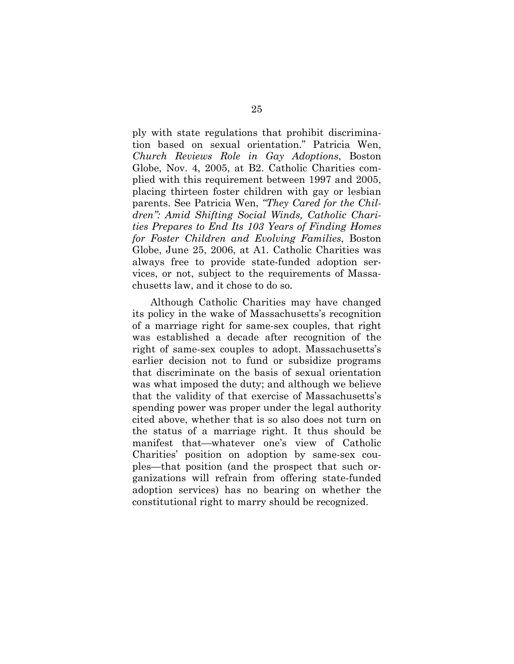ply with state regulations that prohibit discrimination based on sexual orientation." Patricia Wen, *Church Reviews Role in Gay Adoptions*, Boston Globe, Nov. 4, 2005, at B2. Catholic Charities complied with this requirement between 1997 and 2005, placing thirteen foster children with gay or lesbian parents. See Patricia Wen, *"They Cared for the Children": Amid Shifting Social Winds, Catholic Charities Prepares to End Its 103 Years of Finding Homes for Foster Children and Evolving Families*, Boston Globe, June 25, 2006, at A1. Catholic Charities was always free to provide state-funded adoption services, or not, subject to the requirements of Massachusetts law, and it chose to do so.

Although Catholic Charities may have changed its policy in the wake of Massachusetts's recognition of a marriage right for same-sex couples, that right was established a decade after recognition of the right of same-sex couples to adopt. Massachusetts's earlier decision not to fund or subsidize programs that discriminate on the basis of sexual orientation was what imposed the duty; and although we believe that the validity of that exercise of Massachusetts's spending power was proper under the legal authority cited above, whether that is so also does not turn on the status of a marriage right. It thus should be manifest that—whatever one's view of Catholic Charities' position on adoption by same-sex couples—that position (and the prospect that such organizations will refrain from offering state-funded adoption services) has no bearing on whether the constitutional right to marry should be recognized.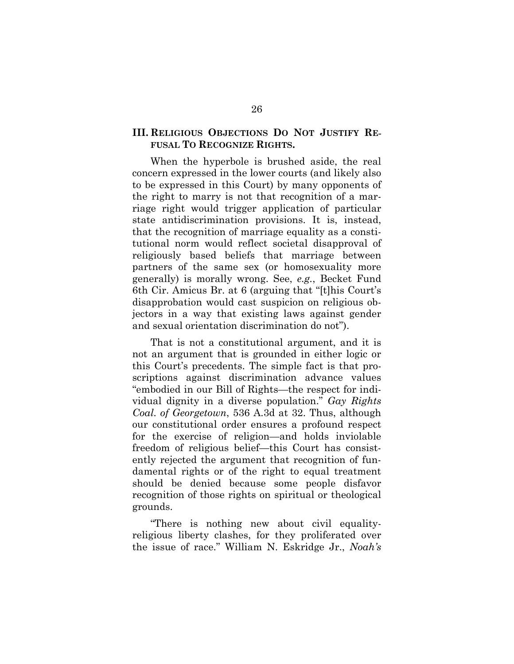#### **III. RELIGIOUS OBJECTIONS DO NOT JUSTIFY RE-FUSAL TO RECOGNIZE RIGHTS.**

When the hyperbole is brushed aside, the real concern expressed in the lower courts (and likely also to be expressed in this Court) by many opponents of the right to marry is not that recognition of a marriage right would trigger application of particular state antidiscrimination provisions. It is, instead, that the recognition of marriage equality as a constitutional norm would reflect societal disapproval of religiously based beliefs that marriage between partners of the same sex (or homosexuality more generally) is morally wrong. See, *e.g.*, Becket Fund 6th Cir. Amicus Br. at 6 (arguing that "[t]his Court's disapprobation would cast suspicion on religious objectors in a way that existing laws against gender and sexual orientation discrimination do not").

That is not a constitutional argument, and it is not an argument that is grounded in either logic or this Court's precedents. The simple fact is that proscriptions against discrimination advance values "embodied in our Bill of Rights—the respect for individual dignity in a diverse population." *Gay Rights Coal. of Georgetown*, 536 A.3d at 32. Thus, although our constitutional order ensures a profound respect for the exercise of religion—and holds inviolable freedom of religious belief—this Court has consistently rejected the argument that recognition of fundamental rights or of the right to equal treatment should be denied because some people disfavor recognition of those rights on spiritual or theological grounds.

"There is nothing new about civil equalityreligious liberty clashes, for they proliferated over the issue of race." William N. Eskridge Jr., *Noah's*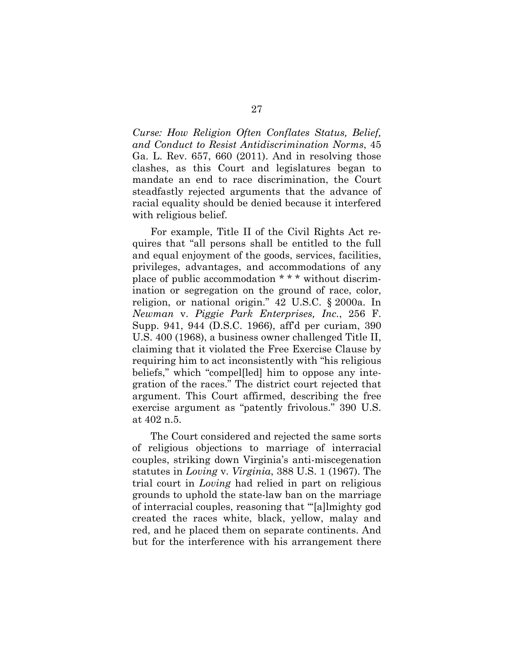*Curse: How Religion Often Conflates Status, Belief, and Conduct to Resist Antidiscrimination Norms*, 45 Ga. L. Rev. 657, 660 (2011). And in resolving those clashes, as this Court and legislatures began to mandate an end to race discrimination, the Court steadfastly rejected arguments that the advance of racial equality should be denied because it interfered with religious belief.

For example, Title II of the Civil Rights Act requires that "all persons shall be entitled to the full and equal enjoyment of the goods, services, facilities, privileges, advantages, and accommodations of any place of public accommodation \* \* \* without discrimination or segregation on the ground of race, color, religion, or national origin." 42 U.S.C. § 2000a. In *Newman* v. *Piggie Park Enterprises, Inc.*, 256 F. Supp. 941, 944 (D.S.C. 1966), aff'd per curiam, 390 U.S. 400 (1968), a business owner challenged Title II, claiming that it violated the Free Exercise Clause by requiring him to act inconsistently with "his religious beliefs," which "compel[led] him to oppose any integration of the races." The district court rejected that argument. This Court affirmed, describing the free exercise argument as "patently frivolous." 390 U.S. at 402 n.5.

The Court considered and rejected the same sorts of religious objections to marriage of interracial couples, striking down Virginia's anti-miscegenation statutes in *Loving* v. *Virginia*, 388 U.S. 1 (1967). The trial court in *Loving* had relied in part on religious grounds to uphold the state-law ban on the marriage of interracial couples, reasoning that "'[a]lmighty god created the races white, black, yellow, malay and red, and he placed them on separate continents. And but for the interference with his arrangement there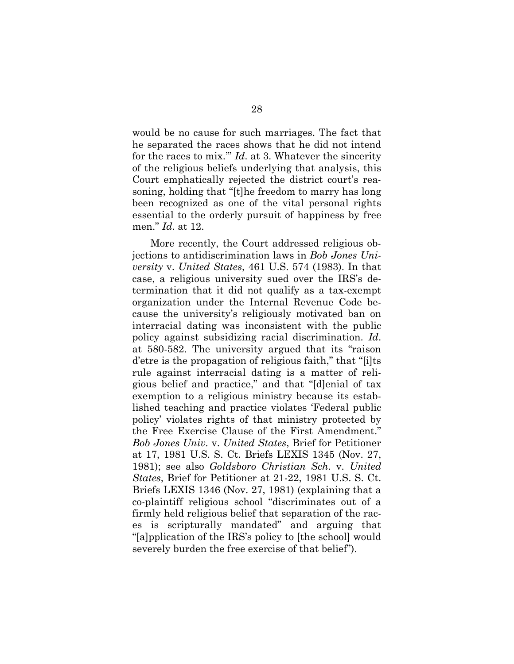would be no cause for such marriages. The fact that he separated the races shows that he did not intend for the races to mix.'" *Id*. at 3. Whatever the sincerity of the religious beliefs underlying that analysis, this Court emphatically rejected the district court's reasoning, holding that "[t]he freedom to marry has long been recognized as one of the vital personal rights essential to the orderly pursuit of happiness by free men." *Id*. at 12.

More recently, the Court addressed religious objections to antidiscrimination laws in *Bob Jones University* v. *United States*, 461 U.S. 574 (1983). In that case, a religious university sued over the IRS's determination that it did not qualify as a tax-exempt organization under the Internal Revenue Code because the university's religiously motivated ban on interracial dating was inconsistent with the public policy against subsidizing racial discrimination. *Id*. at 580-582. The university argued that its "raison d'etre is the propagation of religious faith," that "[i]ts rule against interracial dating is a matter of religious belief and practice," and that "[d]enial of tax exemption to a religious ministry because its established teaching and practice violates 'Federal public policy' violates rights of that ministry protected by the Free Exercise Clause of the First Amendment." *Bob Jones Univ.* v. *United States*, Brief for Petitioner at 17, 1981 U.S. S. Ct. Briefs LEXIS 1345 (Nov. 27, 1981); see also *Goldsboro Christian Sch.* v. *United States*, Brief for Petitioner at 21-22, 1981 U.S. S. Ct. Briefs LEXIS 1346 (Nov. 27, 1981) (explaining that a co-plaintiff religious school "discriminates out of a firmly held religious belief that separation of the races is scripturally mandated" and arguing that "[a]pplication of the IRS's policy to [the school] would severely burden the free exercise of that belief").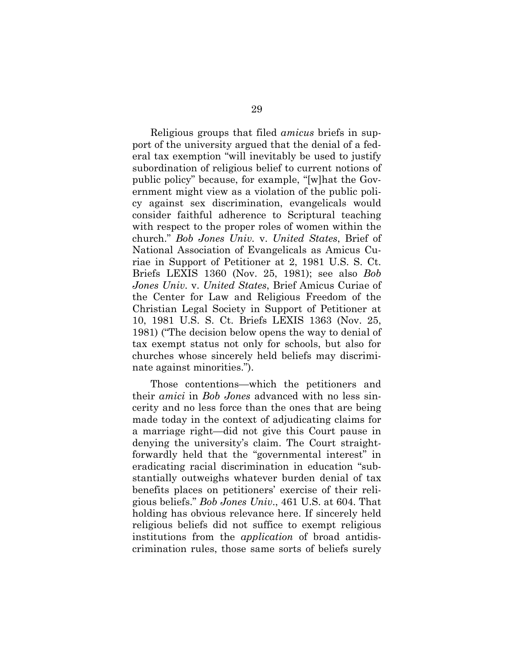Religious groups that filed *amicus* briefs in support of the university argued that the denial of a federal tax exemption "will inevitably be used to justify subordination of religious belief to current notions of public policy" because, for example, "[w]hat the Government might view as a violation of the public policy against sex discrimination, evangelicals would consider faithful adherence to Scriptural teaching with respect to the proper roles of women within the church." *Bob Jones Univ.* v. *United States*, Brief of National Association of Evangelicals as Amicus Curiae in Support of Petitioner at 2, 1981 U.S. S. Ct. Briefs LEXIS 1360 (Nov. 25, 1981); see also *Bob Jones Univ.* v. *United States*, Brief Amicus Curiae of the Center for Law and Religious Freedom of the Christian Legal Society in Support of Petitioner at 10, 1981 U.S. S. Ct. Briefs LEXIS 1363 (Nov. 25, 1981) ("The decision below opens the way to denial of tax exempt status not only for schools, but also for churches whose sincerely held beliefs may discriminate against minorities.").

Those contentions—which the petitioners and their *amici* in *Bob Jones* advanced with no less sincerity and no less force than the ones that are being made today in the context of adjudicating claims for a marriage right—did not give this Court pause in denying the university's claim. The Court straightforwardly held that the "governmental interest" in eradicating racial discrimination in education "substantially outweighs whatever burden denial of tax benefits places on petitioners' exercise of their religious beliefs." *Bob Jones Univ*., 461 U.S. at 604. That holding has obvious relevance here. If sincerely held religious beliefs did not suffice to exempt religious institutions from the *application* of broad antidiscrimination rules, those same sorts of beliefs surely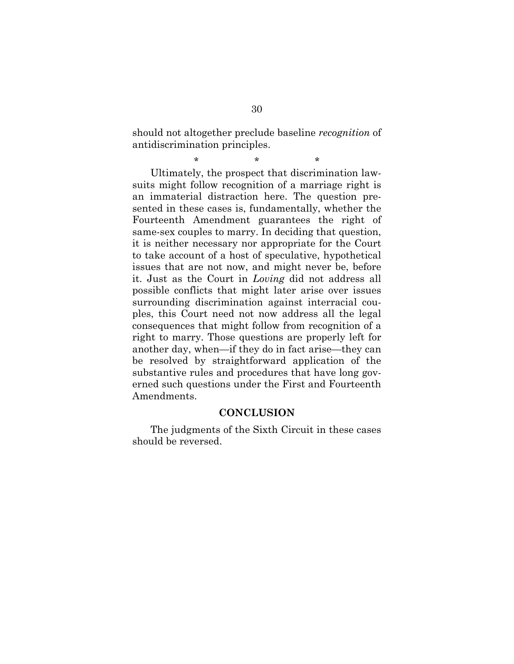should not altogether preclude baseline *recognition* of antidiscrimination principles.

\* \* \* Ultimately, the prospect that discrimination lawsuits might follow recognition of a marriage right is an immaterial distraction here. The question presented in these cases is, fundamentally, whether the Fourteenth Amendment guarantees the right of same-sex couples to marry. In deciding that question, it is neither necessary nor appropriate for the Court to take account of a host of speculative, hypothetical issues that are not now, and might never be, before it. Just as the Court in *Loving* did not address all possible conflicts that might later arise over issues surrounding discrimination against interracial couples, this Court need not now address all the legal consequences that might follow from recognition of a right to marry. Those questions are properly left for another day, when—if they do in fact arise—they can be resolved by straightforward application of the substantive rules and procedures that have long governed such questions under the First and Fourteenth Amendments.

#### **CONCLUSION**

The judgments of the Sixth Circuit in these cases should be reversed.